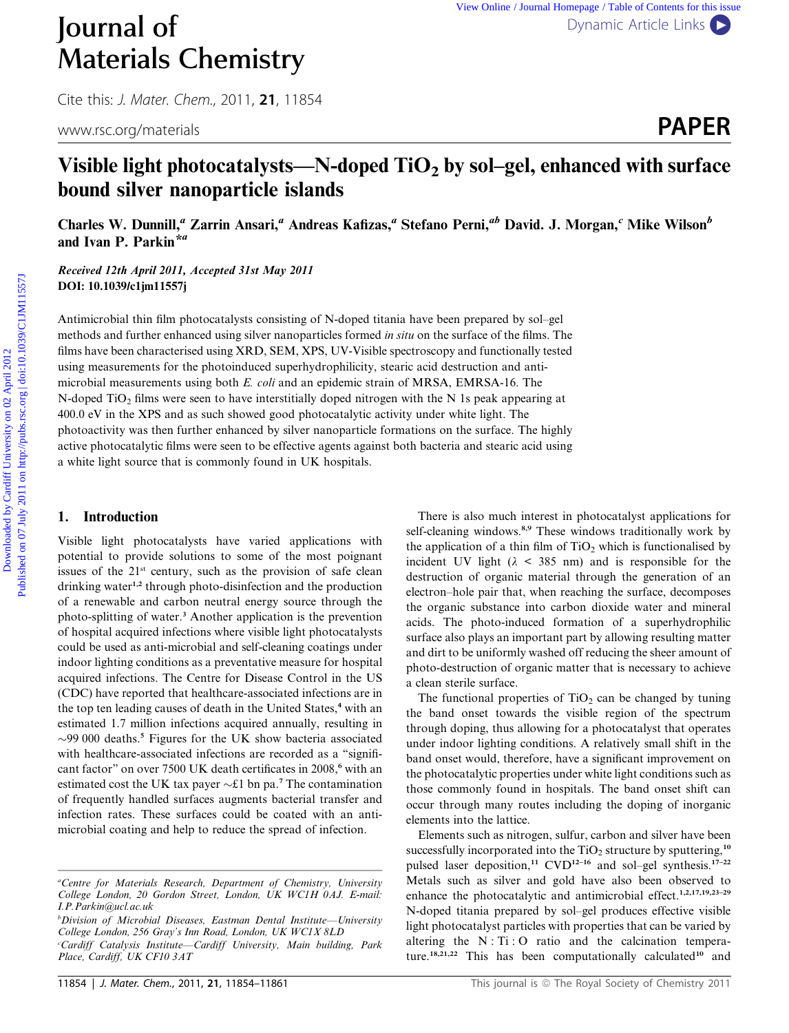# **Journal of** [Dynamic Article Links](http://dx.doi.org/10.1039/c1jm11557j) Materials Chemistry

Cite this: J. Mater. Chem., 2011, <sup>21</sup>, 11854

www.rsc.org/materials **PAPER** 

# Visible light photocatalysts—N-doped  $TiO<sub>2</sub>$  by sol–gel, enhanced with surface bound silver nanoparticle islands

Charles W. Dunnill,<sup>a</sup> Zarrin Ansari,<sup>a</sup> Andreas Kafizas,<sup>a</sup> Stefano Perni,<sup>ab</sup> David. J. Morgan,<sup>c</sup> Mike Wilson<sup>b</sup> and Ivan P. Parkin\*a

Received 12th April 2011, Accepted 31st May 2011 DOI: 10.1039/c1jm11557j

Antimicrobial thin film photocatalysts consisting of N-doped titania have been prepared by sol–gel methods and further enhanced using silver nanoparticles formed in situ on the surface of the films. The films have been characterised using XRD, SEM, XPS, UV-Visible spectroscopy and functionally tested using measurements for the photoinduced superhydrophilicity, stearic acid destruction and antimicrobial measurements using both E. coli and an epidemic strain of MRSA, EMRSA-16. The N-doped  $TiO<sub>2</sub>$  films were seen to have interstitially doped nitrogen with the N 1s peak appearing at 400.0 eV in the XPS and as such showed good photocatalytic activity under white light. The photoactivity was then further enhanced by silver nanoparticle formations on the surface. The highly active photocatalytic films were seen to be effective agents against both bacteria and stearic acid using a white light source that is commonly found in UK hospitals. **JOUTNE 1 of**<br> **Materials Chemistry**<br>
Cite this *1. Motor, Chem, 2011*, 21, 11854<br>
www.sc.org/materials<br> **Visible light photocartalysts—N-doped TiO<sub>2</sub> by sol-gel, enhanced with surface<br>
bound silver nanoparticle islands<br>** 

# 1. Introduction

Visible light photocatalysts have varied applications with potential to provide solutions to some of the most poignant issues of the  $21<sup>st</sup>$  century, such as the provision of safe clean drinking water<sup>1,2</sup> through photo-disinfection and the production of a renewable and carbon neutral energy source through the photo-splitting of water.<sup>3</sup> Another application is the prevention of hospital acquired infections where visible light photocatalysts could be used as anti-microbial and self-cleaning coatings under indoor lighting conditions as a preventative measure for hospital acquired infections. The Centre for Disease Control in the US (CDC) have reported that healthcare-associated infections are in the top ten leading causes of death in the United States,<sup>4</sup> with an estimated 1.7 million infections acquired annually, resulting in  $\sim$ 99 000 deaths.<sup>5</sup> Figures for the UK show bacteria associated with healthcare-associated infections are recorded as a "significant factor" on over 7500 UK death certificates in 2008,<sup>6</sup> with an estimated cost the UK tax payer  $\sim$ £1 bn pa.<sup>7</sup> The contamination of frequently handled surfaces augments bacterial transfer and infection rates. These surfaces could be coated with an antimicrobial coating and help to reduce the spread of infection.

There is also much interest in photocatalyst applications for self-cleaning windows.<sup>8,9</sup> These windows traditionally work by the application of a thin film of  $TiO<sub>2</sub>$  which is functionalised by incident UV light ( $\lambda$  < 385 nm) and is responsible for the destruction of organic material through the generation of an electron–hole pair that, when reaching the surface, decomposes the organic substance into carbon dioxide water and mineral acids. The photo-induced formation of a superhydrophilic surface also plays an important part by allowing resulting matter and dirt to be uniformly washed off reducing the sheer amount of photo-destruction of organic matter that is necessary to achieve a clean sterile surface.

The functional properties of  $TiO<sub>2</sub>$  can be changed by tuning the band onset towards the visible region of the spectrum through doping, thus allowing for a photocatalyst that operates under indoor lighting conditions. A relatively small shift in the band onset would, therefore, have a significant improvement on the photocatalytic properties under white light conditions such as those commonly found in hospitals. The band onset shift can occur through many routes including the doping of inorganic elements into the lattice.

Elements such as nitrogen, sulfur, carbon and silver have been successfully incorporated into the  $TiO<sub>2</sub>$  structure by sputtering,<sup>10</sup> pulsed laser deposition,<sup>11</sup> CVD<sup>12-16</sup> and sol-gel synthesis.<sup>17-22</sup> Metals such as silver and gold have also been observed to enhance the photocatalytic and antimicrobial effect.<sup>1,2,17,19,23-29</sup> N-doped titania prepared by sol–gel produces effective visible light photocatalyst particles with properties that can be varied by altering the N : Ti : O ratio and the calcination temperature.<sup>18,21,22</sup> This has been computationally calculated<sup>10</sup> and

a Centre for Materials Research, Department of Chemistry, University College London, 20 Gordon Street, London, UK WC1H 0AJ. E-mail: I.P.Parkin@ucl.ac.uk

<sup>&</sup>lt;sup>b</sup>Division of Microbial Diseases, Eastman Dental Institute—University College London, 256 Gray's Inn Road, London, UK WC1X 8LD

c Cardiff Catalysis Institute—Cardiff University, Main building, Park Place, Cardiff, UK CF10 3AT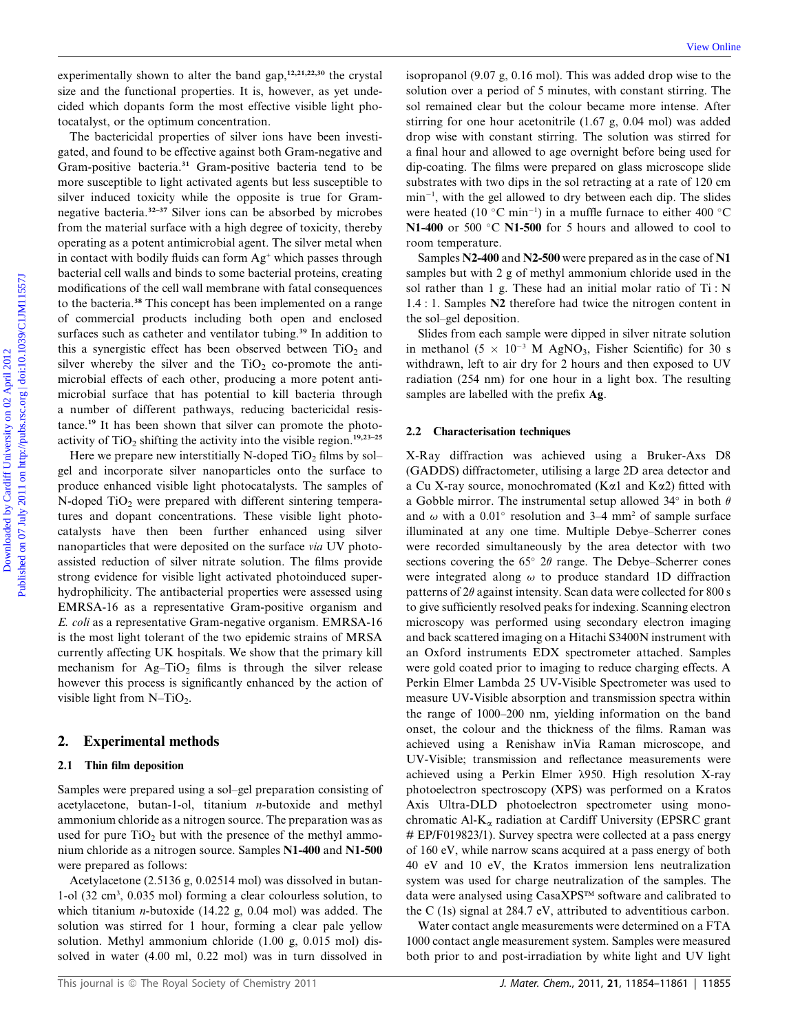experimentally shown to alter the band gap,  $12,21,22,30$  the crystal size and the functional properties. It is, however, as yet undecided which dopants form the most effective visible light photocatalyst, or the optimum concentration.

The bactericidal properties of silver ions have been investigated, and found to be effective against both Gram-negative and Gram-positive bacteria.<sup>31</sup> Gram-positive bacteria tend to be more susceptible to light activated agents but less susceptible to silver induced toxicity while the opposite is true for Gramnegative bacteria.32–37 Silver ions can be absorbed by microbes from the material surface with a high degree of toxicity, thereby operating as a potent antimicrobial agent. The silver metal when in contact with bodily fluids can form Ag<sup>+</sup> which passes through bacterial cell walls and binds to some bacterial proteins, creating modifications of the cell wall membrane with fatal consequences to the bacteria.<sup>38</sup> This concept has been implemented on a range of commercial products including both open and enclosed surfaces such as catheter and ventilator tubing.<sup>39</sup> In addition to this a synergistic effect has been observed between  $TiO<sub>2</sub>$  and silver whereby the silver and the  $TiO<sub>2</sub>$  co-promote the antimicrobial effects of each other, producing a more potent antimicrobial surface that has potential to kill bacteria through a number of different pathways, reducing bactericidal resistance.<sup>19</sup> It has been shown that silver can promote the photoactivity of  $TiO<sub>2</sub>$  shifting the activity into the visible region.<sup>19,23–25</sup> experimentally shows to alter the hand gang EELEM, is several so increased for the model of S model and the consistent on the set of the model on the model of the model on the set of the model of the model of the model on

Here we prepare new interstitially N-doped  $TiO<sub>2</sub>$  films by sol– gel and incorporate silver nanoparticles onto the surface to produce enhanced visible light photocatalysts. The samples of  $N$ -doped TiO<sub>2</sub> were prepared with different sintering temperatures and dopant concentrations. These visible light photocatalysts have then been further enhanced using silver nanoparticles that were deposited on the surface via UV photoassisted reduction of silver nitrate solution. The films provide strong evidence for visible light activated photoinduced superhydrophilicity. The antibacterial properties were assessed using EMRSA-16 as a representative Gram-positive organism and E. coli as a representative Gram-negative organism. EMRSA-16 is the most light tolerant of the two epidemic strains of MRSA currently affecting UK hospitals. We show that the primary kill mechanism for  $Ag-TiO<sub>2</sub>$  films is through the silver release however this process is significantly enhanced by the action of visible light from  $N-TiO<sub>2</sub>$ .

# 2. Experimental methods

#### 2.1 Thin film deposition

Samples were prepared using a sol–gel preparation consisting of acetylacetone, butan-1-ol, titanium n-butoxide and methyl ammonium chloride as a nitrogen source. The preparation was as used for pure  $TiO<sub>2</sub>$  but with the presence of the methyl ammonium chloride as a nitrogen source. Samples N1-400 and N1-500 were prepared as follows:

Acetylacetone (2.5136 g, 0.02514 mol) was dissolved in butan-1-ol (32 cm3 , 0.035 mol) forming a clear colourless solution, to which titanium *n*-butoxide (14.22 g, 0.04 mol) was added. The solution was stirred for 1 hour, forming a clear pale yellow solution. Methyl ammonium chloride (1.00 g, 0.015 mol) dissolved in water (4.00 ml, 0.22 mol) was in turn dissolved in

isopropanol (9.07 g, 0.16 mol). This was added drop wise to the solution over a period of 5 minutes, with constant stirring. The sol remained clear but the colour became more intense. After stirring for one hour acetonitrile (1.67 g, 0.04 mol) was added drop wise with constant stirring. The solution was stirred for a final hour and allowed to age overnight before being used for dip-coating. The films were prepared on glass microscope slide substrates with two dips in the sol retracting at a rate of 120 cm  $min^{-1}$ , with the gel allowed to dry between each dip. The slides were heated (10  $^{\circ}$ C min<sup>-1</sup>) in a muffle furnace to either 400  $^{\circ}$ C N1-400 or 500 $\degree$ C N1-500 for 5 hours and allowed to cool to room temperature.

Samples N2-400 and N2-500 were prepared as in the case of N1 samples but with 2 g of methyl ammonium chloride used in the sol rather than 1 g. These had an initial molar ratio of Ti : N 1.4 : 1. Samples N2 therefore had twice the nitrogen content in the sol–gel deposition.

Slides from each sample were dipped in silver nitrate solution in methanol (5  $\times$  10<sup>-3</sup> M AgNO<sub>3</sub>, Fisher Scientific) for 30 s withdrawn, left to air dry for 2 hours and then exposed to UV radiation (254 nm) for one hour in a light box. The resulting samples are labelled with the prefix Ag.

#### 2.2 Characterisation techniques

X-Ray diffraction was achieved using a Bruker-Axs D8 (GADDS) diffractometer, utilising a large 2D area detector and a Cu X-ray source, monochromated (K $\alpha$ 1 and K $\alpha$ 2) fitted with a Gobble mirror. The instrumental setup allowed 34 $\degree$  in both  $\theta$ and  $\omega$  with a 0.01° resolution and 3–4 mm<sup>2</sup> of sample surface illuminated at any one time. Multiple Debye–Scherrer cones were recorded simultaneously by the area detector with two sections covering the  $65^{\circ}$  2 $\theta$  range. The Debye–Scherrer cones were integrated along  $\omega$  to produce standard 1D diffraction patterns of  $2\theta$  against intensity. Scan data were collected for 800 s to give sufficiently resolved peaks for indexing. Scanning electron microscopy was performed using secondary electron imaging and back scattered imaging on a Hitachi S3400N instrument with an Oxford instruments EDX spectrometer attached. Samples were gold coated prior to imaging to reduce charging effects. A Perkin Elmer Lambda 25 UV-Visible Spectrometer was used to measure UV-Visible absorption and transmission spectra within the range of 1000–200 nm, yielding information on the band onset, the colour and the thickness of the films. Raman was achieved using a Renishaw inVia Raman microscope, and UV-Visible; transmission and reflectance measurements were achieved using a Perkin Elmer  $\lambda$ 950. High resolution X-ray photoelectron spectroscopy (XPS) was performed on a Kratos Axis Ultra-DLD photoelectron spectrometer using monochromatic Al- $K_{\alpha}$  radiation at Cardiff University (EPSRC grant # EP/F019823/1). Survey spectra were collected at a pass energy of 160 eV, while narrow scans acquired at a pass energy of both 40 eV and 10 eV, the Kratos immersion lens neutralization system was used for charge neutralization of the samples. The data were analysed using CasaXPS™ software and calibrated to the C (1s) signal at 284.7 eV, attributed to adventitious carbon.

Water contact angle measurements were determined on a FTA 1000 contact angle measurement system. Samples were measured both prior to and post-irradiation by white light and UV light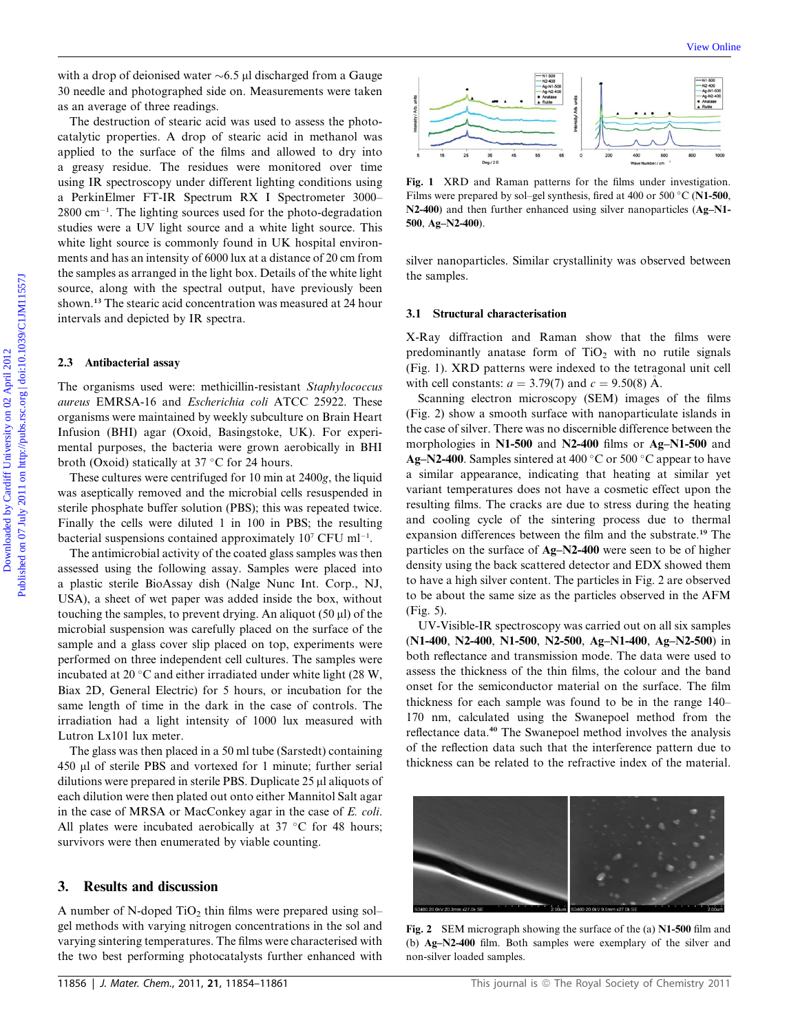with a drop of deionised water  $\sim 6.5$  ul discharged from a Gauge 30 needle and photographed side on. Measurements were taken as an average of three readings.

The destruction of stearic acid was used to assess the photocatalytic properties. A drop of stearic acid in methanol was applied to the surface of the films and allowed to dry into a greasy residue. The residues were monitored over time using IR spectroscopy under different lighting conditions using a PerkinElmer FT-IR Spectrum RX I Spectrometer 3000–  $2800 \text{ cm}^{-1}$ . The lighting sources used for the photo-degradation studies were a UV light source and a white light source. This white light source is commonly found in UK hospital environments and has an intensity of 6000 lux at a distance of 20 cm from the samples as arranged in the light box. Details of the white light source, along with the spectral output, have previously been shown.<sup>13</sup> The stearic acid concentration was measured at 24 hour intervals and depicted by IR spectra. with a den of deisning basis and the state of the three cardiff University on the cardiff University of the cardiff University of the cardiff University of the cardiff University of the Cardiff University of the state of

#### 2.3 Antibacterial assay

The organisms used were: methicillin-resistant Staphylococcus aureus EMRSA-16 and Escherichia coli ATCC 25922. These organisms were maintained by weekly subculture on Brain Heart Infusion (BHI) agar (Oxoid, Basingstoke, UK). For experimental purposes, the bacteria were grown aerobically in BHI broth (Oxoid) statically at 37  $\degree$ C for 24 hours.

These cultures were centrifuged for 10 min at 2400g, the liquid was aseptically removed and the microbial cells resuspended in sterile phosphate buffer solution (PBS); this was repeated twice. Finally the cells were diluted 1 in 100 in PBS; the resulting bacterial suspensions contained approximately  $10^7$  CFU ml<sup>-1</sup>.

The antimicrobial activity of the coated glass samples was then assessed using the following assay. Samples were placed into a plastic sterile BioAssay dish (Nalge Nunc Int. Corp., NJ, USA), a sheet of wet paper was added inside the box, without touching the samples, to prevent drying. An aliquot  $(50 \mu l)$  of the microbial suspension was carefully placed on the surface of the sample and a glass cover slip placed on top, experiments were performed on three independent cell cultures. The samples were incubated at 20 $\degree$ C and either irradiated under white light (28 W, Biax 2D, General Electric) for 5 hours, or incubation for the same length of time in the dark in the case of controls. The irradiation had a light intensity of 1000 lux measured with Lutron Lx101 lux meter.

The glass was then placed in a 50 ml tube (Sarstedt) containing 450 ml of sterile PBS and vortexed for 1 minute; further serial dilutions were prepared in sterile PBS. Duplicate 25 µl aliquots of each dilution were then plated out onto either Mannitol Salt agar in the case of MRSA or MacConkey agar in the case of E. coli. All plates were incubated aerobically at  $37 °C$  for 48 hours; survivors were then enumerated by viable counting.

# 3. Results and discussion

A number of N-doped  $TiO<sub>2</sub>$  thin films were prepared using sol– gel methods with varying nitrogen concentrations in the sol and varying sintering temperatures. The films were characterised with the two best performing photocatalysts further enhanced with



Fig. 1 XRD and Raman patterns for the films under investigation. Films were prepared by sol–gel synthesis, fired at 400 or 500  $\degree$ C (N1-500, N2-400) and then further enhanced using silver nanoparticles (Ag–N1-500, Ag–N2-400).

silver nanoparticles. Similar crystallinity was observed between the samples.

#### 3.1 Structural characterisation

X-Ray diffraction and Raman show that the films were predominantly anatase form of  $TiO<sub>2</sub>$  with no rutile signals (Fig. 1). XRD patterns were indexed to the tetragonal unit cell with cell constants:  $a = 3.79(7)$  and  $c = 9.50(8)$  A.

Scanning electron microscopy (SEM) images of the films (Fig. 2) show a smooth surface with nanoparticulate islands in the case of silver. There was no discernible difference between the morphologies in N1-500 and N2-400 films or Ag–N1-500 and Ag–N2-400. Samples sintered at 400  $\degree$ C or 500  $\degree$ C appear to have a similar appearance, indicating that heating at similar yet variant temperatures does not have a cosmetic effect upon the resulting films. The cracks are due to stress during the heating and cooling cycle of the sintering process due to thermal expansion differences between the film and the substrate.<sup>19</sup> The particles on the surface of Ag–N2-400 were seen to be of higher density using the back scattered detector and EDX showed them to have a high silver content. The particles in Fig. 2 are observed to be about the same size as the particles observed in the AFM (Fig. 5).

UV-Visible-IR spectroscopy was carried out on all six samples (N1-400, N2-400, N1-500, N2-500, Ag–N1-400, Ag–N2-500) in both reflectance and transmission mode. The data were used to assess the thickness of the thin films, the colour and the band onset for the semiconductor material on the surface. The film thickness for each sample was found to be in the range 140– 170 nm, calculated using the Swanepoel method from the reflectance data.<sup>40</sup> The Swanepoel method involves the analysis of the reflection data such that the interference pattern due to thickness can be related to the refractive index of the material.



Fig. 2 SEM micrograph showing the surface of the (a) N1-500 film and (b) Ag–N2-400 film. Both samples were exemplary of the silver and non-silver loaded samples.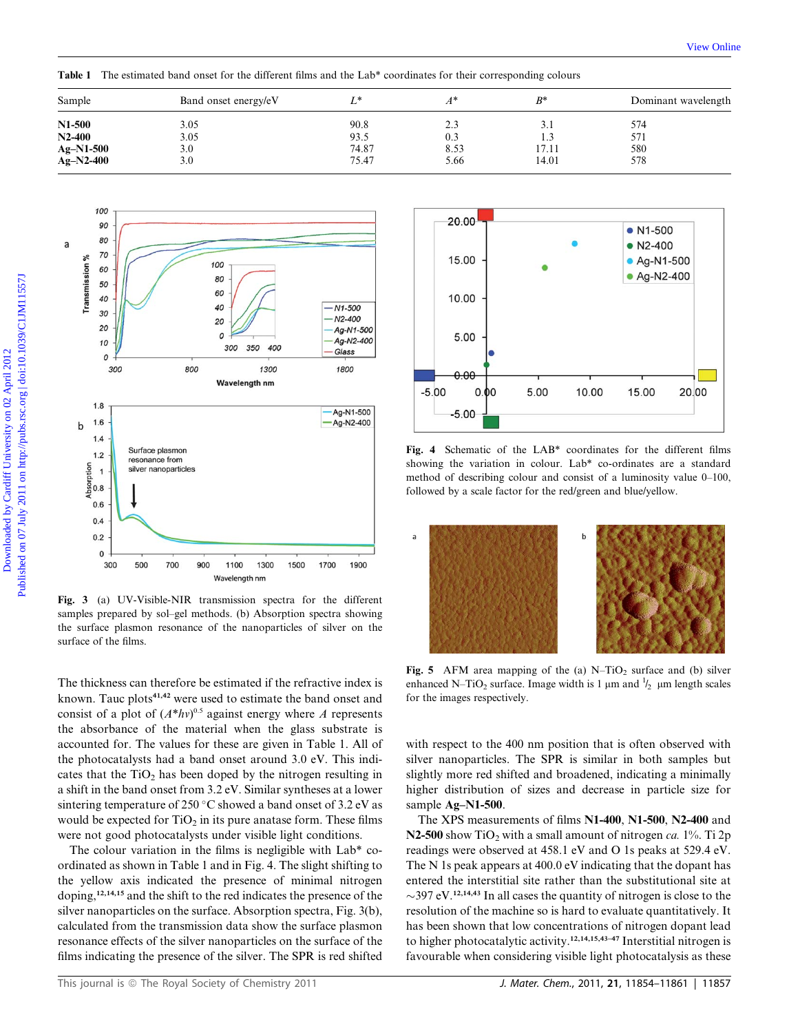| Band onset energy/eV |       |      | $B^*$ | Dominant wavelength |
|----------------------|-------|------|-------|---------------------|
| 3.05                 | 90.8  | 2.3  | 3.1   | 574                 |
| 3.05                 | 93.5  | 0.3  | 1.3   | 571                 |
|                      | 74.87 |      |       | 580                 |
| 3.0                  | 75.47 | 5.66 | 14.01 | 578                 |
|                      | 3.0   |      | 8.53  | 17.11               |

Table 1 The estimated band onset for the different films and the Lab\* coordinates for their corresponding colours



Fig. 3 (a) UV-Visible-NIR transmission spectra for the different samples prepared by sol–gel methods. (b) Absorption spectra showing the surface plasmon resonance of the nanoparticles of silver on the surface of the films.

The thickness can therefore be estimated if the refractive index is known. Tauc plots<sup>41,42</sup> were used to estimate the band onset and consist of a plot of  $(A^*hv)^{0.5}$  against energy where A represents the absorbance of the material when the glass substrate is accounted for. The values for these are given in Table 1. All of the photocatalysts had a band onset around 3.0 eV. This indicates that the  $TiO<sub>2</sub>$  has been doped by the nitrogen resulting in a shift in the band onset from 3.2 eV. Similar syntheses at a lower sintering temperature of 250 °C showed a band onset of 3.2 eV as would be expected for  $TiO<sub>2</sub>$  in its pure anatase form. These films were not good photocatalysts under visible light conditions.

The colour variation in the films is negligible with Lab\* coordinated as shown in Table 1 and in Fig. 4. The slight shifting to the yellow axis indicated the presence of minimal nitrogen doping,12,14,15 and the shift to the red indicates the presence of the silver nanoparticles on the surface. Absorption spectra, Fig. 3(b), calculated from the transmission data show the surface plasmon resonance effects of the silver nanoparticles on the surface of the films indicating the presence of the silver. The SPR is red shifted



showing the variation in colour. Lab\* co-ordinates are a standard method of describing colour and consist of a luminosity value 0–100, followed by a scale factor for the red/green and blue/yellow.



Fig. 5 AFM area mapping of the (a) N–TiO<sub>2</sub> surface and (b) silver enhanced N-TiO<sub>2</sub> surface. Image width is 1  $\mu$ m and  $\frac{1}{2}$   $\mu$ m length scales for the images respectively.

with respect to the 400 nm position that is often observed with silver nanoparticles. The SPR is similar in both samples but slightly more red shifted and broadened, indicating a minimally higher distribution of sizes and decrease in particle size for sample Ag–N1-500.

The XPS measurements of films N1-400, N1-500, N2-400 and N2-500 show TiO<sub>2</sub> with a small amount of nitrogen ca.  $1\%$ . Ti 2p readings were observed at 458.1 eV and O 1s peaks at 529.4 eV. The N 1s peak appears at 400.0 eV indicating that the dopant has entered the interstitial site rather than the substitutional site at  $\sim$ 397 eV.<sup>12,14,43</sup> In all cases the quantity of nitrogen is close to the resolution of the machine so is hard to evaluate quantitatively. It has been shown that low concentrations of nitrogen dopant lead to higher photocatalytic activity.12,14,15,43–47 Interstitial nitrogen is favourable when considering visible light photocatalysis as these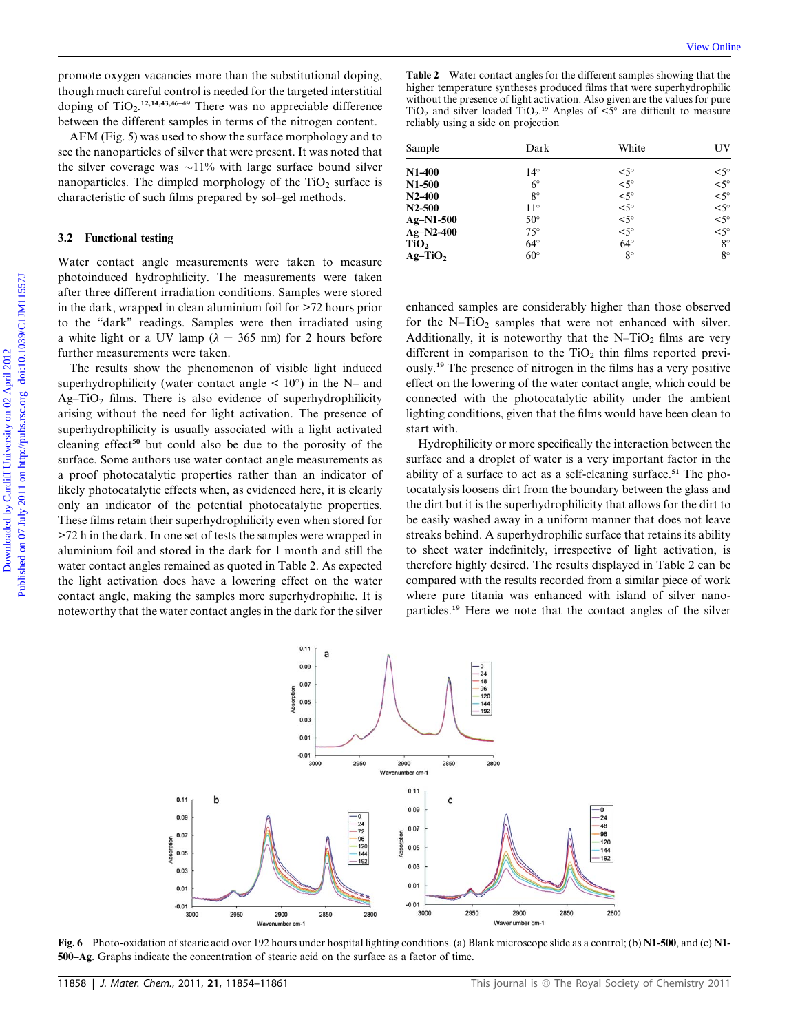promote oxygen vacancies more than the substitutional doping, though much careful control is needed for the targeted interstitial doping of  $TiO<sub>2</sub>$ .<sup>12,14,43,46–49</sup> There was no appreciable difference between the different samples in terms of the nitrogen content.

AFM (Fig. 5) was used to show the surface morphology and to see the nanoparticles of silver that were present. It was noted that the silver coverage was  $\sim$ 11% with large surface bound silver nanoparticles. The dimpled morphology of the  $TiO<sub>2</sub>$  surface is characteristic of such films prepared by sol–gel methods.

### 3.2 Functional testing

Water contact angle measurements were taken to measure photoinduced hydrophilicity. The measurements were taken after three different irradiation conditions. Samples were stored in the dark, wrapped in clean aluminium foil for >72 hours prior to the ''dark'' readings. Samples were then irradiated using a white light or a UV lamp ( $\lambda = 365$  nm) for 2 hours before further measurements were taken.

The results show the phenomenon of visible light induced superhydrophilicity (water contact angle  $\leq 10^{\circ}$ ) in the N– and  $Ag-TiO<sub>2</sub>$  films. There is also evidence of superhydrophilicity arising without the need for light activation. The presence of superhydrophilicity is usually associated with a light activated cleaning effect<sup>50</sup> but could also be due to the porosity of the surface. Some authors use water contact angle measurements as a proof photocatalytic properties rather than an indicator of likely photocatalytic effects when, as evidenced here, it is clearly only an indicator of the potential photocatalytic properties. These films retain their superhydrophilicity even when stored for >72 h in the dark. In one set of tests the samples were wrapped in aluminium foil and stored in the dark for 1 month and still the water contact angles remained as quoted in Table 2. As expected the light activation does have a lowering effect on the water contact angle, making the samples more superhydrophilic. It is noteworthy that the water contact angles in the dark for the silver Download interpret is the set of the set of the set of the set of the set of the set of the set of the set of the set of the set of the set of the set of the set of the set of the set of the set of the set of the set of t

Table 2 Water contact angles for the different samples showing that the higher temperature syntheses produced films that were superhydrophilic without the presence of light activation. Also given are the values for pure TiO<sub>2</sub> and silver loaded TiO<sub>2</sub>.<sup>19</sup> Angles of  $\leq$ <sup>5°</sup> are difficult to measure reliably using a side on projection

| Sample      | Dark         | White         | UV          |
|-------------|--------------|---------------|-------------|
| $N1-400$    | $14^{\circ}$ | $< 5^{\circ}$ | $< 5^\circ$ |
| $N1-500$    | $6^{\circ}$  | $< 5^\circ$   | $< 5^\circ$ |
| $N2-400$    | $8^{\circ}$  | $< 5^\circ$   | $< 5^\circ$ |
| $N2 - 500$  | $11^{\circ}$ | $< 5^\circ$   | $< 5^\circ$ |
| $Ag-N1-500$ | $50^\circ$   | $< 5^\circ$   | $< 5^\circ$ |
| $Ag-N2-400$ | $75^{\circ}$ | $< 5^\circ$   | $< 5^\circ$ |
| TiO,        | $64^{\circ}$ | $64^\circ$    | $8^{\circ}$ |
| $Ag-TiO2$   | $60^\circ$   | $8^{\circ}$   | $8^{\circ}$ |

enhanced samples are considerably higher than those observed for the  $N-TiO<sub>2</sub>$  samples that were not enhanced with silver. Additionally, it is noteworthy that the  $N-TiO<sub>2</sub>$  films are very different in comparison to the  $TiO<sub>2</sub>$  thin films reported previously.<sup>19</sup> The presence of nitrogen in the films has a very positive effect on the lowering of the water contact angle, which could be connected with the photocatalytic ability under the ambient lighting conditions, given that the films would have been clean to start with.

Hydrophilicity or more specifically the interaction between the surface and a droplet of water is a very important factor in the ability of a surface to act as a self-cleaning surface.<sup>51</sup> The photocatalysis loosens dirt from the boundary between the glass and the dirt but it is the superhydrophilicity that allows for the dirt to be easily washed away in a uniform manner that does not leave streaks behind. A superhydrophilic surface that retains its ability to sheet water indefinitely, irrespective of light activation, is therefore highly desired. The results displayed in Table 2 can be compared with the results recorded from a similar piece of work where pure titania was enhanced with island of silver nanoparticles.<sup>19</sup> Here we note that the contact angles of the silver



Fig. 6 Photo-oxidation of stearic acid over 192 hours under hospital lighting conditions. (a) Blank microscope slide as a control; (b) N1-500, and (c) N1- 500–Ag. Graphs indicate the concentration of stearic acid on the surface as a factor of time.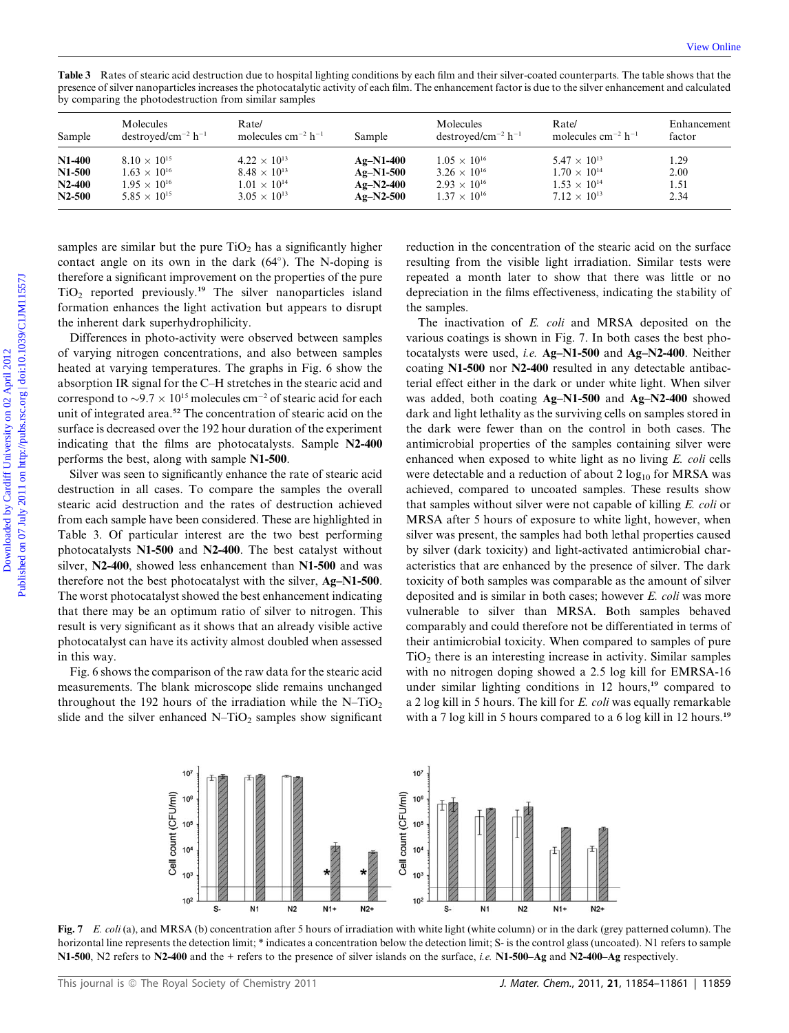Table 3 Rates of stearic acid destruction due to hospital lighting conditions by each film and their silver-coated counterparts. The table shows that the presence of silver nanoparticles increases the photocatalytic activity of each film. The enhancement factor is due to the silver enhancement and calculated by comparing the photodestruction from similar samples

| Sample        | Molecules<br>$destroved/cm^{-2} h^{-1}$ | Rate/<br>molecules cm <sup>-2</sup> h <sup>-1</sup> | Sample      | Molecules<br>$destroved/cm^{-2} h^{-1}$ | Rate/<br>molecules cm <sup>-2</sup> h <sup>-1</sup> | Enhancement<br>factor |
|---------------|-----------------------------------------|-----------------------------------------------------|-------------|-----------------------------------------|-----------------------------------------------------|-----------------------|
| <b>N1-400</b> | $8.10 \times 10^{15}$                   | $4.22 \times 10^{13}$                               | $Ag-N1-400$ | $1.05 \times 10^{16}$                   | $5.47 \times 10^{13}$                               | 1.29                  |
| N1-500        | $1.63 \times 10^{16}$                   | $8.48 \times 10^{13}$                               | $Ag-N1-500$ | $3.26 \times 10^{16}$                   | $1.70 \times 10^{14}$                               | 2.00                  |
| $N2-400$      | $1.95 \times 10^{16}$                   | $1.01 \times 10^{14}$                               | $Ag-N2-400$ | $2.93 \times 10^{16}$                   | $1.53 \times 10^{14}$                               | 1.51                  |
| $N2-500$      | $5.85 \times 10^{15}$                   | $3.05 \times 10^{13}$                               | $Ag-N2-500$ | $1.37 \times 10^{16}$                   | $7.12 \times 10^{13}$                               | 2.34                  |

samples are similar but the pure  $TiO<sub>2</sub>$  has a significantly higher contact angle on its own in the dark  $(64^{\circ})$ . The N-doping is therefore a significant improvement on the properties of the pure  $TiO<sub>2</sub>$  reported previously.<sup>19</sup> The silver nanoparticles island formation enhances the light activation but appears to disrupt the inherent dark superhydrophilicity.

Differences in photo-activity were observed between samples of varying nitrogen concentrations, and also between samples heated at varying temperatures. The graphs in Fig. 6 show the absorption IR signal for the C–H stretches in the stearic acid and correspond to  $\sim$ 9.7  $\times$  10<sup>15</sup> molecules cm<sup>-2</sup> of stearic acid for each unit of integrated area.<sup>52</sup> The concentration of stearic acid on the surface is decreased over the 192 hour duration of the experiment indicating that the films are photocatalysts. Sample N2-400 performs the best, along with sample N1-500.

Silver was seen to significantly enhance the rate of stearic acid destruction in all cases. To compare the samples the overall stearic acid destruction and the rates of destruction achieved from each sample have been considered. These are highlighted in Table 3. Of particular interest are the two best performing photocatalysts N1-500 and N2-400. The best catalyst without silver, N2-400, showed less enhancement than N1-500 and was therefore not the best photocatalyst with the silver, Ag–N1-500. The worst photocatalyst showed the best enhancement indicating that there may be an optimum ratio of silver to nitrogen. This result is very significant as it shows that an already visible active photocatalyst can have its activity almost doubled when assessed in this way.

Fig. 6 shows the comparison of the raw data for the stearic acid measurements. The blank microscope slide remains unchanged throughout the 192 hours of the irradiation while the  $N-TiO<sub>2</sub>$ slide and the silver enhanced  $N-TiO<sub>2</sub>$  samples show significant reduction in the concentration of the stearic acid on the surface resulting from the visible light irradiation. Similar tests were repeated a month later to show that there was little or no depreciation in the films effectiveness, indicating the stability of the samples.

The inactivation of E. coli and MRSA deposited on the various coatings is shown in Fig. 7. In both cases the best photocatalysts were used, i.e. Ag–N1-500 and Ag–N2-400. Neither coating N1-500 nor N2-400 resulted in any detectable antibacterial effect either in the dark or under white light. When silver was added, both coating Ag–N1-500 and Ag–N2-400 showed dark and light lethality as the surviving cells on samples stored in the dark were fewer than on the control in both cases. The antimicrobial properties of the samples containing silver were enhanced when exposed to white light as no living E. coli cells were detectable and a reduction of about  $2 \log_{10}$  for MRSA was achieved, compared to uncoated samples. These results show that samples without silver were not capable of killing E. coli or MRSA after 5 hours of exposure to white light, however, when silver was present, the samples had both lethal properties caused by silver (dark toxicity) and light-activated antimicrobial characteristics that are enhanced by the presence of silver. The dark toxicity of both samples was comparable as the amount of silver deposited and is similar in both cases; however E. coli was more vulnerable to silver than MRSA. Both samples behaved comparably and could therefore not be differentiated in terms of their antimicrobial toxicity. When compared to samples of pure  $TiO<sub>2</sub>$  there is an interesting increase in activity. Similar samples with no nitrogen doping showed a 2.5 log kill for EMRSA-16 under similar lighting conditions in 12 hours,<sup>19</sup> compared to a 2 log kill in 5 hours. The kill for E. coli was equally remarkable with a 7 log kill in 5 hours compared to a 6 log kill in 12 hours.<sup>19</sup> Table 3. Recard of ancient and dottrostics on the boosted by card for an elementation constrained by Comparison to the Cardiff University of each film. The coherence of show that is a single determined by Comparison (and



Fig. 7 E. coli (a), and MRSA (b) concentration after 5 hours of irradiation with white light (white column) or in the dark (grey patterned column). The horizontal line represents the detection limit; \* indicates a concentration below the detection limit; S- is the control glass (uncoated). N1 refers to sample N1-500, N2 refers to N2-400 and the + refers to the presence of silver islands on the surface, *i.e.* N1-500–Ag and N2-400–Ag respectively.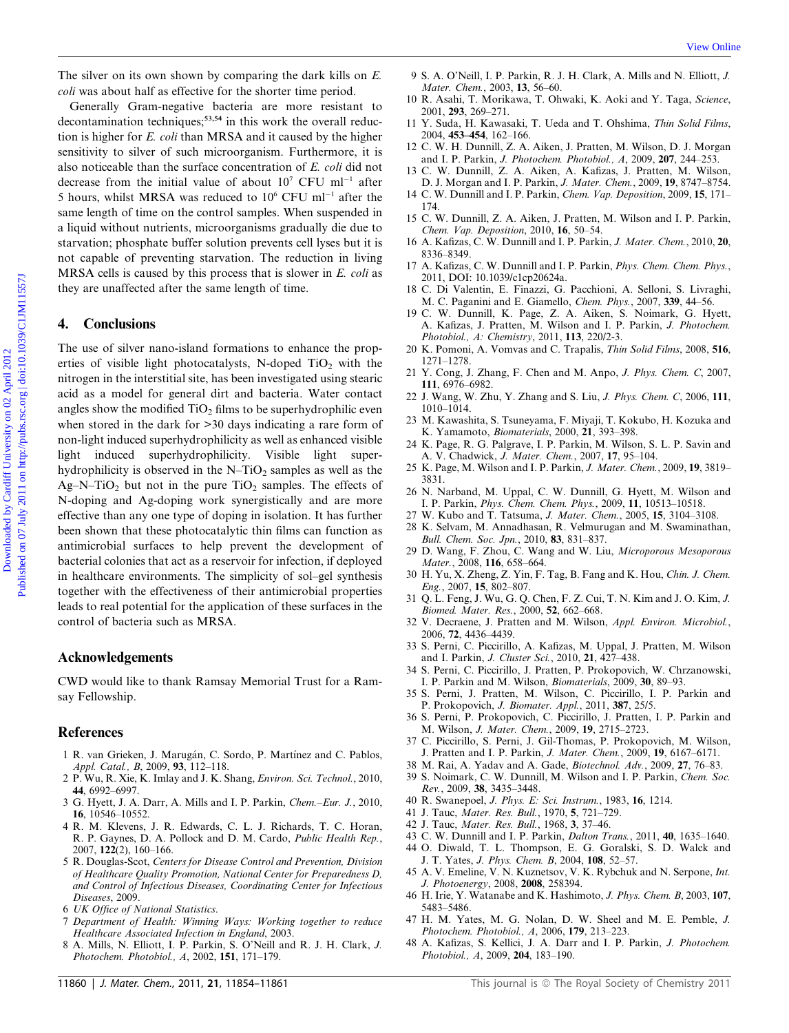The silver on its own shown by comparing the dark kills on E. coli was about half as effective for the shorter time period.

Generally Gram-negative bacteria are more resistant to decontamination techniques;<sup>53,54</sup> in this work the overall reduction is higher for E. coli than MRSA and it caused by the higher sensitivity to silver of such microorganism. Furthermore, it is also noticeable than the surface concentration of E. coli did not decrease from the initial value of about  $10<sup>7</sup>$  CFU ml<sup>-1</sup> after 5 hours, whilst MRSA was reduced to  $10^6$  CFU ml<sup>-1</sup> after the same length of time on the control samples. When suspended in a liquid without nutrients, microorganisms gradually die due to starvation; phosphate buffer solution prevents cell lyses but it is not capable of preventing starvation. The reduction in living MRSA cells is caused by this process that is slower in  $E$ . *coli* as they are unaffected after the same length of time.

# 4. Conclusions

The use of silver nano-island formations to enhance the properties of visible light photocatalysts, N-doped  $TiO<sub>2</sub>$  with the nitrogen in the interstitial site, has been investigated using stearic acid as a model for general dirt and bacteria. Water contact angles show the modified  $TiO<sub>2</sub>$  films to be superhydrophilic even when stored in the dark for >30 days indicating a rare form of non-light induced superhydrophilicity as well as enhanced visible light induced superhydrophilicity. Visible light superhydrophilicity is observed in the  $N-TiO<sub>2</sub>$  samples as well as the Ag–N–TiO<sub>2</sub> but not in the pure TiO<sub>2</sub> samples. The effects of N-doping and Ag-doping work synergistically and are more effective than any one type of doping in isolation. It has further been shown that these photocatalytic thin films can function as antimicrobial surfaces to help prevent the development of bacterial colonies that act as a reservoir for infection, if deployed in healthcare environments. The simplicity of sol–gel synthesis together with the effectiveness of their antimicrobial properties leads to real potential for the application of these surfaces in the control of bacteria such as MRSA. The silver on its one oliversity on the dark idea on  $K$ . We can consider the silver of the silver of the silver of the silver of the silver of the silver of the silver of the silver of the silver of the silver of the sil

## Acknowledgements

CWD would like to thank Ramsay Memorial Trust for a Ramsay Fellowship.

#### References

- 1 R. van Grieken, J. Marugán, C. Sordo, P. Martínez and C. Pablos, Appl. Catal., B, 2009, 93, 112–118.
- 2 P. Wu, R. Xie, K. Imlay and J. K. Shang, Environ. Sci. Technol., 2010, 44, 6992–6997.
- 3 G. Hyett, J. A. Darr, A. Mills and I. P. Parkin, Chem.–Eur. J., 2010, 16, 10546–10552.
- 4 R. M. Klevens, J. R. Edwards, C. L. J. Richards, T. C. Horan, R. P. Gaynes, D. A. Pollock and D. M. Cardo, Public Health Rep., 2007, 122(2), 160–166.
- 5 R. Douglas-Scot, Centers for Disease Control and Prevention, Division of Healthcare Quality Promotion, National Center for Preparedness D, and Control of Infectious Diseases, Coordinating Center for Infectious Diseases, 2009.
- 6 UK Office of National Statistics.
- 7 Department of Health: Winning Ways: Working together to reduce Healthcare Associated Infection in England, 2003.
- 8 A. Mills, N. Elliott, I. P. Parkin, S. O'Neill and R. J. H. Clark, J. Photochem. Photobiol., A, 2002, 151, 171–179.
- 9 S. A. O'Neill, I. P. Parkin, R. J. H. Clark, A. Mills and N. Elliott, J. Mater. Chem., 2003, 13, 56–60.
- 10 R. Asahi, T. Morikawa, T. Ohwaki, K. Aoki and Y. Taga, Science, 2001, 293, 269–271.
- 11 Y. Suda, H. Kawasaki, T. Ueda and T. Ohshima, Thin Solid Films, 2004, 453–454, 162–166.
- 12 C. W. H. Dunnill, Z. A. Aiken, J. Pratten, M. Wilson, D. J. Morgan and I. P. Parkin, J. Photochem. Photobiol., A, 2009, 207, 244–253.
- 13 C. W. Dunnill, Z. A. Aiken, A. Kafizas, J. Pratten, M. Wilson, D. J. Morgan and I. P. Parkin, J. Mater. Chem., 2009, 19, 8747–8754.
- 14 C. W. Dunnill and I. P. Parkin, Chem. Vap. Deposition, 2009, 15, 171– 174.
- 15 C. W. Dunnill, Z. A. Aiken, J. Pratten, M. Wilson and I. P. Parkin, Chem. Vap. Deposition, 2010, 16, 50–54.
- 16 A. Kafizas, C. W. Dunnill and I. P. Parkin, J. Mater. Chem., 2010, 20, 8336–8349.
- 17 A. Kafizas, C. W. Dunnill and I. P. Parkin, Phys. Chem. Chem. Phys., 2011, DOI: 10.1039/c1cp20624a.
- 18 C. Di Valentin, E. Finazzi, G. Pacchioni, A. Selloni, S. Livraghi, M. C. Paganini and E. Giamello, Chem. Phys., 2007, 339, 44–56.
- 19 C. W. Dunnill, K. Page, Z. A. Aiken, S. Noimark, G. Hyett, A. Kafizas, J. Pratten, M. Wilson and I. P. Parkin, J. Photochem. Photobiol., A: Chemistry, 2011, 113, 220/2-3.
- 20 K. Pomoni, A. Vomvas and C. Trapalis, Thin Solid Films, 2008, 516, 1271–1278.
- 21 Y. Cong, J. Zhang, F. Chen and M. Anpo, J. Phys. Chem. C, 2007, 111, 6976–6982.
- 22 J. Wang, W. Zhu, Y. Zhang and S. Liu, J. Phys. Chem. C, 2006, 111, 1010–1014.
- 23 M. Kawashita, S. Tsuneyama, F. Miyaji, T. Kokubo, H. Kozuka and K. Yamamoto, Biomaterials, 2000, 21, 393–398.
- 24 K. Page, R. G. Palgrave, I. P. Parkin, M. Wilson, S. L. P. Savin and A. V. Chadwick, J. Mater. Chem., 2007, 17, 95-104.
- 25 K. Page, M. Wilson and I. P. Parkin, J. Mater. Chem., 2009, 19, 3819– 3831.
- 26 N. Narband, M. Uppal, C. W. Dunnill, G. Hyett, M. Wilson and I. P. Parkin, Phys. Chem. Chem. Phys., 2009, 11, 10513–10518.
- 27 W. Kubo and T. Tatsuma, J. Mater. Chem., 2005, 15, 3104–3108.
- 28 K. Selvam, M. Annadhasan, R. Velmurugan and M. Swaminathan,
- Bull. Chem. Soc. Jpn., 2010, 83, 831–837. 29 D. Wang, F. Zhou, C. Wang and W. Liu, Microporous Mesoporous Mater., 2008, 116, 658–664.
- 30 H. Yu, X. Zheng, Z. Yin, F. Tag, B. Fang and K. Hou, Chin. J. Chem. Eng., 2007, 15, 802–807.
- 31 Q. L. Feng, J. Wu, G. Q. Chen, F. Z. Cui, T. N. Kim and J. O. Kim, J. Biomed. Mater. Res., 2000, 52, 662–668.
- 32 V. Decraene, J. Pratten and M. Wilson, Appl. Environ. Microbiol., 2006, 72, 4436–4439.
- 33 S. Perni, C. Piccirillo, A. Kafizas, M. Uppal, J. Pratten, M. Wilson and I. Parkin, J. Cluster Sci., 2010, 21, 427–438.
- 34 S. Perni, C. Piccirillo, J. Pratten, P. Prokopovich, W. Chrzanowski, I. P. Parkin and M. Wilson, Biomaterials, 2009, 30, 89–93.
- 35 S. Perni, J. Pratten, M. Wilson, C. Piccirillo, I. P. Parkin and P. Prokopovich, J. Biomater. Appl., 2011, 387, 25/5.
- 36 S. Perni, P. Prokopovich, C. Piccirillo, J. Pratten, I. P. Parkin and M. Wilson, J. Mater. Chem., 2009, 19, 2715–2723.
- 37 C. Piccirillo, S. Perni, J. Gil-Thomas, P. Prokopovich, M. Wilson, J. Pratten and I. P. Parkin, J. Mater. Chem., 2009, 19, 6167–6171.
- 38 M. Rai, A. Yadav and A. Gade, Biotechnol. Adv., 2009, 27, 76–83.
- 39 S. Noimark, C. W. Dunnill, M. Wilson and I. P. Parkin, Chem. Soc. Rev., 2009, 38, 3435–3448.
- 40 R. Swanepoel, J. Phys. E: Sci. Instrum., 1983, 16, 1214.
- 41 J. Tauc, Mater. Res. Bull., 1970, 5, 721–729.
- 42 J. Tauc, Mater. Res. Bull., 1968, 3, 37–46.
- 43 C. W. Dunnill and I. P. Parkin, Dalton Trans., 2011, 40, 1635–1640. 44 O. Diwald, T. L. Thompson, E. G. Goralski, S. D. Walck and
- J. T. Yates, J. Phys. Chem. B, 2004, 108, 52–57. 45 A. V. Emeline, V. N. Kuznetsov, V. K. Rybchuk and N. Serpone, Int.
- J. Photoenergy, 2008, 2008, 258394. 46 H. Irie, Y. Watanabe and K. Hashimoto, J. Phys. Chem. B, 2003, 107,
- 5483–5486. 47 H. M. Yates, M. G. Nolan, D. W. Sheel and M. E. Pemble, J. Photochem. Photobiol., A, 2006, 179, 213–223.
- 48 A. Kafizas, S. Kellici, J. A. Darr and I. P. Parkin, J. Photochem. Photobiol., A, 2009, 204, 183–190.